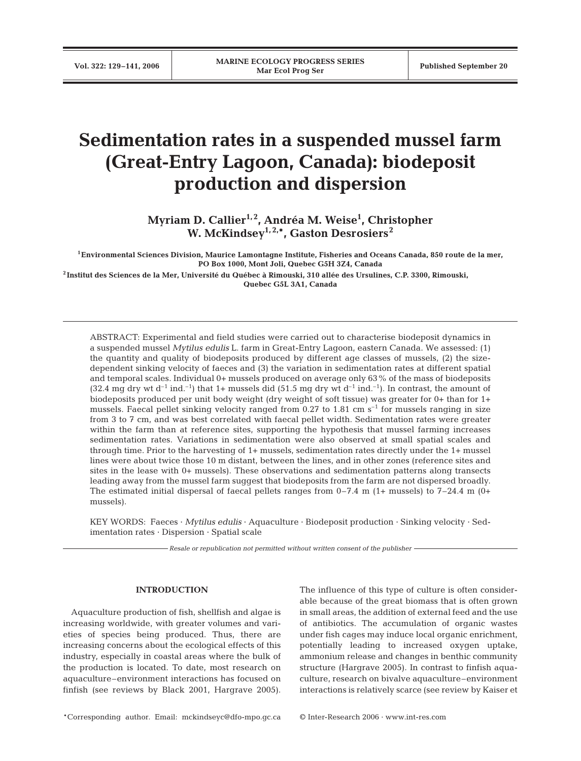# **Sedimentation rates in a suspended mussel farm (Great-Entry Lagoon, Canada): biodeposit production and dispersion**

**Myriam D. Callier1, 2, Andréa M. Weise1 , Christopher W. McKindsey1, 2,\*, Gaston Desrosiers2**

**1Environmental Sciences Division, Maurice Lamontagne Institute, Fisheries and Oceans Canada, 850 route de la mer, PO Box 1000, Mont Joli, Quebec G5H 3Z4, Canada**

**<sup>2</sup> Institut des Sciences de la Mer, Université du Québec à Rimouski, 310 allée des Ursulines, C.P. 3300, Rimouski, Quebec G5L 3A1, Canada**

ABSTRACT: Experimental and field studies were carried out to characterise biodeposit dynamics in a suspended mussel *Mytilus edulis* L. farm in Great-Entry Lagoon, eastern Canada. We assessed: (1) the quantity and quality of biodeposits produced by different age classes of mussels, (2) the sizedependent sinking velocity of faeces and (3) the variation in sedimentation rates at different spatial and temporal scales. Individual 0+ mussels produced on average only 63% of the mass of biodeposits  $(32.4 \text{ mg dry wt d}^{-1} \text{ ind.}^{-1})$  that 1+ mussels did  $(51.5 \text{ mg dry wt d}^{-1} \text{ ind.}^{-1})$ . In contrast, the amount of biodeposits produced per unit body weight (dry weight of soft tissue) was greater for 0+ than for 1+ mussels. Faecal pellet sinking velocity ranged from  $0.27$  to  $1.81 \text{ cm s}^{-1}$  for mussels ranging in size from 3 to 7 cm, and was best correlated with faecal pellet width. Sedimentation rates were greater within the farm than at reference sites, supporting the hypothesis that mussel farming increases sedimentation rates. Variations in sedimentation were also observed at small spatial scales and through time. Prior to the harvesting of 1+ mussels, sedimentation rates directly under the 1+ mussel lines were about twice those 10 m distant, between the lines, and in other zones (reference sites and sites in the lease with 0+ mussels). These observations and sedimentation patterns along transects leading away from the mussel farm suggest that biodeposits from the farm are not dispersed broadly. The estimated initial dispersal of faecal pellets ranges from  $0-7.4$  m  $(1+$  mussels) to  $7-24.4$  m  $(0+$ mussels).

KEY WORDS: Faeces · *Mytilus edulis* · Aquaculture · Biodeposit production · Sinking velocity · Sedimentation rates · Dispersion · Spatial scale

*Resale or republication not permitted without written consent of the publisher*

## **INTRODUCTION**

Aquaculture production of fish, shellfish and algae is increasing worldwide, with greater volumes and varieties of species being produced. Thus, there are increasing concerns about the ecological effects of this industry, especially in coastal areas where the bulk of the production is located. To date, most research on aquaculture–environment interactions has focused on finfish (see reviews by Black 2001, Hargrave 2005). The influence of this type of culture is often considerable because of the great biomass that is often grown in small areas, the addition of external feed and the use of antibiotics. The accumulation of organic wastes under fish cages may induce local organic enrichment, potentially leading to increased oxygen uptake, ammonium release and changes in benthic community structure (Hargrave 2005). In contrast to finfish aquaculture, research on bivalve aquaculture–environment interactions is relatively scarce (see review by Kaiser et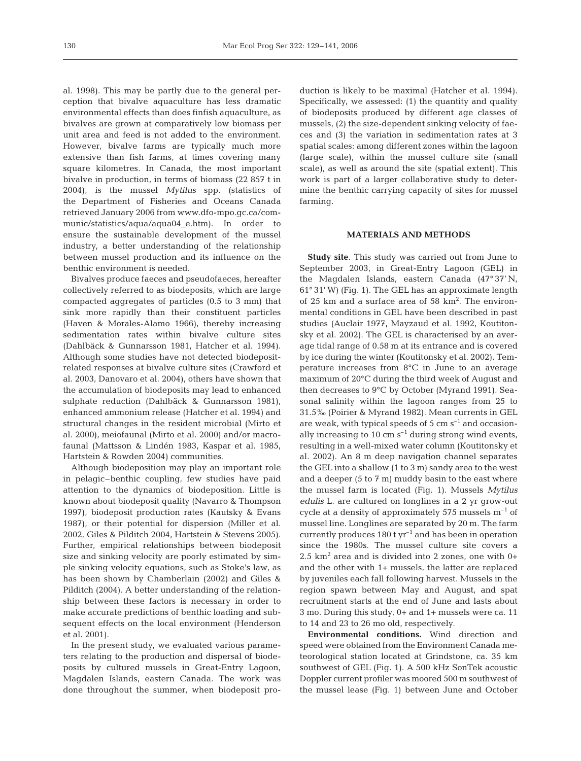al. 1998). This may be partly due to the general perception that bivalve aquaculture has less dramatic environmental effects than does finfish aquaculture, as bivalves are grown at comparatively low biomass per unit area and feed is not added to the environment. However, bivalve farms are typically much more extensive than fish farms, at times covering many square kilometres. In Canada, the most important bivalve in production, in terms of biomass (22 857 t in 2004), is the mussel *Mytilus* spp. (statistics of the Department of Fisheries and Oceans Canada retrieved January 2006 from www.dfo-mpo.gc.ca/communic/statistics/aqua/aqua04\_e.htm). In order to ensure the sustainable development of the mussel industry, a better understanding of the relationship between mussel production and its influence on the benthic environment is needed.

Bivalves produce faeces and pseudofaeces, hereafter collectively referred to as biodeposits, which are large compacted aggregates of particles (0.5 to 3 mm) that sink more rapidly than their constituent particles (Haven & Morales-Alamo 1966), thereby increasing sedimentation rates within bivalve culture sites (Dahlbäck & Gunnarsson 1981, Hatcher et al. 1994). Although some studies have not detected biodepositrelated responses at bivalve culture sites (Crawford et al. 2003, Danovaro et al. 2004), others have shown that the accumulation of biodeposits may lead to enhanced sulphate reduction (Dahlbäck & Gunnarsson 1981), enhanced ammonium release (Hatcher et al. 1994) and structural changes in the resident microbial (Mirto et al. 2000), meiofaunal (Mirto et al. 2000) and/or macrofaunal (Mattsson & Lindén 1983, Kaspar et al. 1985, Hartstein & Rowden 2004) communities.

Although biodeposition may play an important role in pelagic–benthic coupling, few studies have paid attention to the dynamics of biodeposition. Little is known about biodeposit quality (Navarro & Thompson 1997), biodeposit production rates (Kautsky & Evans 1987), or their potential for dispersion (Miller et al. 2002, Giles & Pilditch 2004, Hartstein & Stevens 2005). Further, empirical relationships between biodeposit size and sinking velocity are poorly estimated by simple sinking velocity equations, such as Stoke's law, as has been shown by Chamberlain (2002) and Giles & Pilditch (2004). A better understanding of the relationship between these factors is necessary in order to make accurate predictions of benthic loading and subsequent effects on the local environment (Henderson et al. 2001).

In the present study, we evaluated various parameters relating to the production and dispersal of biodeposits by cultured mussels in Great-Entry Lagoon, Magdalen Islands, eastern Canada. The work was done throughout the summer, when biodeposit production is likely to be maximal (Hatcher et al. 1994). Specifically, we assessed: (1) the quantity and quality of biodeposits produced by different age classes of mussels, (2) the size-dependent sinking velocity of faeces and (3) the variation in sedimentation rates at 3 spatial scales: among different zones within the lagoon (large scale), within the mussel culture site (small scale), as well as around the site (spatial extent). This work is part of a larger collaborative study to determine the benthic carrying capacity of sites for mussel farming.

## **MATERIALS AND METHODS**

**Study site**. This study was carried out from June to September 2003, in Great-Entry Lagoon (GEL) in the Magdalen Islands, eastern Canada (47° 37' N, 61° 31' W) (Fig. 1). The GEL has an approximate length of 25 km and a surface area of 58 km<sup>2</sup>. The environmental conditions in GEL have been described in past studies (Auclair 1977, Mayzaud et al. 1992, Koutitonsky et al. 2002). The GEL is characterised by an average tidal range of 0.58 m at its entrance and is covered by ice during the winter (Koutitonsky et al. 2002). Temperature increases from 8°C in June to an average maximum of 20°C during the third week of August and then decreases to 9°C by October (Myrand 1991). Seasonal salinity within the lagoon ranges from 25 to 31.5‰ (Poirier & Myrand 1982). Mean currents in GEL are weak, with typical speeds of  $5 \text{ cm s}^{-1}$  and occasionally increasing to 10 cm  $s^{-1}$  during strong wind events, resulting in a well-mixed water column (Koutitonsky et al. 2002). An 8 m deep navigation channel separates the GEL into a shallow (1 to 3 m) sandy area to the west and a deeper (5 to 7 m) muddy basin to the east where the mussel farm is located (Fig. 1). Mussels *Mytilus edulis* L. are cultured on longlines in a 2 yr grow-out cycle at a density of approximately 575 mussels  $m^{-1}$  of mussel line. Longlines are separated by 20 m. The farm currently produces  $180 \text{ t yr}^{-1}$  and has been in operation since the 1980s. The mussel culture site covers a 2.5  $km^2$  area and is divided into 2 zones, one with  $0+$ and the other with 1+ mussels, the latter are replaced by juveniles each fall following harvest. Mussels in the region spawn between May and August, and spat recruitment starts at the end of June and lasts about 3 mo. During this study, 0+ and 1+ mussels were ca. 11 to 14 and 23 to 26 mo old, respectively.

**Environmental conditions.** Wind direction and speed were obtained from the Environment Canada meteorological station located at Grindstone, ca. 35 km southwest of GEL (Fig. 1). A 500 kHz SonTek acoustic Doppler current profiler was moored 500 m southwest of the mussel lease (Fig. 1) between June and October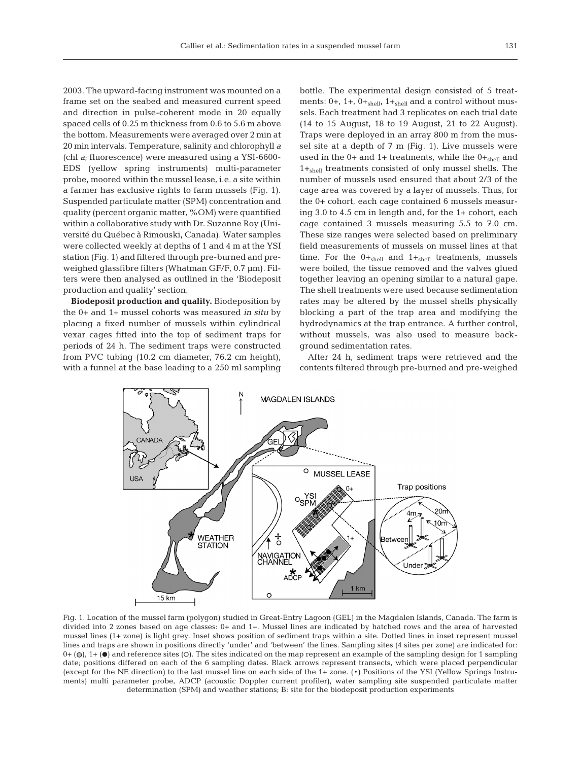2003. The upward-facing instrument was mounted on a frame set on the seabed and measured current speed and direction in pulse-coherent mode in 20 equally spaced cells of 0.25 m thickness from 0.6 to 5.6 m above the bottom. Measurements were averaged over 2 min at 20 min intervals. Temperature, salinity and chlorophyll *a* (chl *a*; fluorescence) were measured using a YSI-6600- EDS (yellow spring instruments) multi-parameter probe, moored within the mussel lease, i.e. a site within a farmer has exclusive rights to farm mussels (Fig. 1). Suspended particulate matter (SPM) concentration and quality (percent organic matter, %OM) were quantified within a collaborative study with Dr. Suzanne Roy (Université du Québec à Rimouski, Canada). Water samples were collected weekly at depths of 1 and 4 m at the YSI

station (Fig. 1) and filtered through pre-burned and preweighed glassfibre filters (Whatman GF/F, 0.7 µm). Filters were then analysed as outlined in the 'Biodeposit production and quality' section. **Biodeposit production and quality.** Biodeposition by

the 0+ and 1+ mussel cohorts was measured *in situ* by placing a fixed number of mussels within cylindrical vexar cages fitted into the top of sediment traps for periods of 24 h. The sediment traps were constructed from PVC tubing (10.2 cm diameter, 76.2 cm height), with a funnel at the base leading to a 250 ml sampling

bottle. The experimental design consisted of 5 treatments:  $0+$ ,  $1+$ ,  $0+_{shell}$ ,  $1+_{shell}$  and a control without mussels. Each treatment had 3 replicates on each trial date (14 to 15 August, 18 to 19 August, 21 to 22 August). Traps were deployed in an array 800 m from the mussel site at a depth of 7 m (Fig. 1). Live mussels were used in the  $0+$  and  $1+$  treatments, while the  $0+_{shell}$  and 1+shell treatments consisted of only mussel shells. The number of mussels used ensured that about 2/3 of the cage area was covered by a layer of mussels. Thus, for the 0+ cohort, each cage contained 6 mussels measuring 3.0 to 4.5 cm in length and, for the 1+ cohort, each cage contained 3 mussels measuring 5.5 to 7.0 cm. These size ranges were selected based on preliminary field measurements of mussels on mussel lines at that time. For the  $0+_{shell}$  and  $1+_{shell}$  treatments, mussels were boiled, the tissue removed and the valves glued together leaving an opening similar to a natural gape. The shell treatments were used because sedimentation rates may be altered by the mussel shells physically blocking a part of the trap area and modifying the hydrodynamics at the trap entrance. A further control, without mussels, was also used to measure background sedimentation rates.

After 24 h, sediment traps were retrieved and the contents filtered through pre-burned and pre-weighed



Fig. 1. Location of the mussel farm (polygon) studied in Great-Entry Lagoon (GEL) in the Magdalen Islands, Canada. The farm is divided into 2 zones based on age classes: 0+ and 1+. Mussel lines are indicated by hatched rows and the area of harvested mussel lines (1+ zone) is light grey. Inset shows position of sediment traps within a site. Dotted lines in inset represent mussel lines and traps are shown in positions directly 'under' and 'between' the lines. Sampling sites (4 sites per zone) are indicated for:  $0+$  ( $\odot$ ),  $1+$  ( $\bullet$ ) and reference sites (O). The sites indicated on the map represent an example of the sampling design for 1 sampling date; positions differed on each of the 6 sampling dates. Black arrows represent transects, which were placed perpendicular (except for the NE direction) to the last mussel line on each side of the 1+ zone. (\*) Positions of the YSI (Yellow Springs Instruments) multi parameter probe, ADCP (acoustic Doppler current profiler), water sampling site suspended particulate matter determination (SPM) and weather stations; B: site for the biodeposit production experiments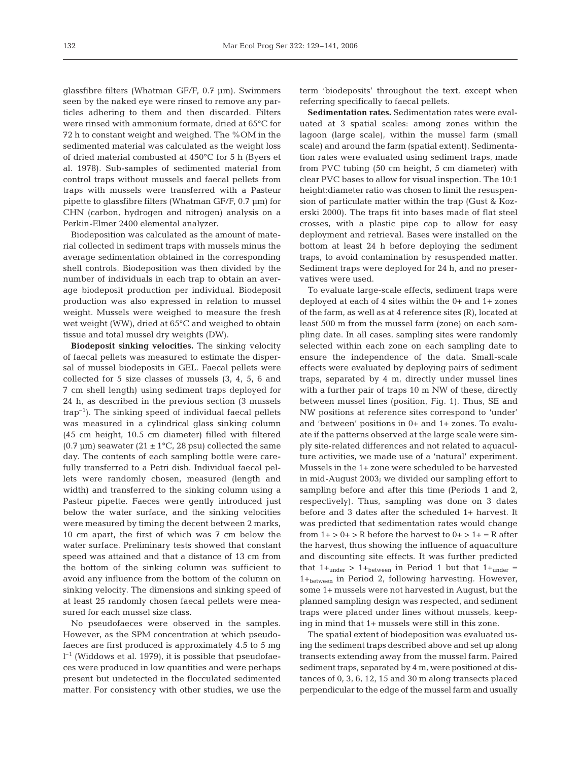glassfibre filters (Whatman GF/F, 0.7 µm). Swimmers seen by the naked eye were rinsed to remove any particles adhering to them and then discarded. Filters were rinsed with ammonium formate, dried at 65°C for 72 h to constant weight and weighed. The %OM in the sedimented material was calculated as the weight loss of dried material combusted at 450°C for 5 h (Byers et al. 1978). Sub-samples of sedimented material from control traps without mussels and faecal pellets from traps with mussels were transferred with a Pasteur pipette to glassfibre filters (Whatman GF/F, 0.7 µm) for CHN (carbon, hydrogen and nitrogen) analysis on a Perkin-Elmer 2400 elemental analyzer.

Biodeposition was calculated as the amount of material collected in sediment traps with mussels minus the average sedimentation obtained in the corresponding shell controls. Biodeposition was then divided by the number of individuals in each trap to obtain an average biodeposit production per individual. Biodeposit production was also expressed in relation to mussel weight. Mussels were weighed to measure the fresh wet weight (WW), dried at 65°C and weighed to obtain tissue and total mussel dry weights (DW).

**Biodeposit sinking velocities.** The sinking velocity of faecal pellets was measured to estimate the dispersal of mussel biodeposits in GEL. Faecal pellets were collected for 5 size classes of mussels (3, 4, 5, 6 and 7 cm shell length) using sediment traps deployed for 24 h, as described in the previous section (3 mussels  $trap^{-1}$ ). The sinking speed of individual faecal pellets was measured in a cylindrical glass sinking column (45 cm height, 10.5 cm diameter) filled with filtered (0.7  $\mu$ m) seawater (21 ± 1°C, 28 psu) collected the same day. The contents of each sampling bottle were carefully transferred to a Petri dish. Individual faecal pellets were randomly chosen, measured (length and width) and transferred to the sinking column using a Pasteur pipette. Faeces were gently introduced just below the water surface, and the sinking velocities were measured by timing the decent between 2 marks, 10 cm apart, the first of which was 7 cm below the water surface. Preliminary tests showed that constant speed was attained and that a distance of 13 cm from the bottom of the sinking column was sufficient to avoid any influence from the bottom of the column on sinking velocity. The dimensions and sinking speed of at least 25 randomly chosen faecal pellets were measured for each mussel size class.

No pseudofaeces were observed in the samples. However, as the SPM concentration at which pseudofaeces are first produced is approximately 4.5 to 5 mg  $l^{-1}$  (Widdows et al. 1979), it is possible that pseudofaeces were produced in low quantities and were perhaps present but undetected in the flocculated sedimented matter. For consistency with other studies, we use the

term 'biodeposits' throughout the text, except when referring specifically to faecal pellets.

**Sedimentation rates.** Sedimentation rates were evaluated at 3 spatial scales: among zones within the lagoon (large scale), within the mussel farm (small scale) and around the farm (spatial extent). Sedimentation rates were evaluated using sediment traps, made from PVC tubing (50 cm height, 5 cm diameter) with clear PVC bases to allow for visual inspection. The 10:1 height:diameter ratio was chosen to limit the resuspension of particulate matter within the trap (Gust & Kozerski 2000). The traps fit into bases made of flat steel crosses, with a plastic pipe cap to allow for easy deployment and retrieval. Bases were installed on the bottom at least 24 h before deploying the sediment traps, to avoid contamination by resuspended matter. Sediment traps were deployed for 24 h, and no preservatives were used.

To evaluate large-scale effects, sediment traps were deployed at each of 4 sites within the 0+ and 1+ zones of the farm, as well as at 4 reference sites (R), located at least 500 m from the mussel farm (zone) on each sampling date. In all cases, sampling sites were randomly selected within each zone on each sampling date to ensure the independence of the data. Small-scale effects were evaluated by deploying pairs of sediment traps, separated by 4 m, directly under mussel lines with a further pair of traps 10 m NW of these, directly between mussel lines (position, Fig. 1). Thus, SE and NW positions at reference sites correspond to 'under' and 'between' positions in 0+ and 1+ zones. To evaluate if the patterns observed at the large scale were simply site-related differences and not related to aquaculture activities, we made use of a 'natural' experiment. Mussels in the 1+ zone were scheduled to be harvested in mid-August 2003; we divided our sampling effort to sampling before and after this time (Periods 1 and 2, respectively). Thus, sampling was done on 3 dates before and 3 dates after the scheduled 1+ harvest. It was predicted that sedimentation rates would change from  $1+$  >  $0+$  > R before the harvest to  $0+$  >  $1+$  = R after the harvest, thus showing the influence of aquaculture and discounting site effects. It was further predicted that  $1+_{under}$  >  $1+_{between}$  in Period 1 but that  $1+_{under}$  = 1+between in Period 2, following harvesting. However, some 1+ mussels were not harvested in August, but the planned sampling design was respected, and sediment traps were placed under lines without mussels, keeping in mind that 1+ mussels were still in this zone.

The spatial extent of biodeposition was evaluated using the sediment traps described above and set up along transects extending away from the mussel farm. Paired sediment traps, separated by 4 m, were positioned at distances of 0, 3, 6, 12, 15 and 30 m along transects placed perpendicular to the edge of the mussel farm and usually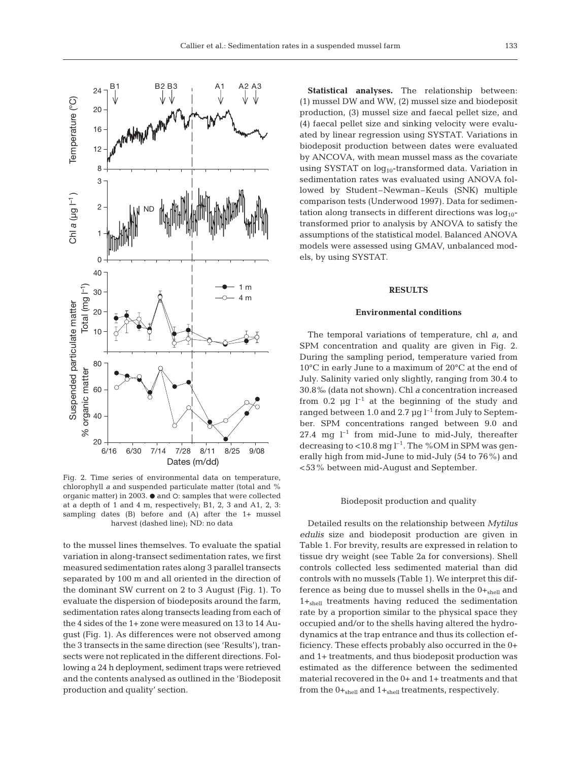

Fig. 2. Time series of environmental data on temperature, chlorophyll *a* and suspended particulate matter (total and % organic matter) in 2003.  $\bullet$  and  $\circ$ : samples that were collected at a depth of 1 and 4 m, respectively; B1, 2, 3 and A1, 2, 3: sampling dates (B) before and (A) after the 1+ mussel harvest (dashed line); ND: no data

to the mussel lines themselves. To evaluate the spatial variation in along-transect sedimentation rates, we first measured sedimentation rates along 3 parallel transects separated by 100 m and all oriented in the direction of the dominant SW current on 2 to 3 August (Fig. 1). To evaluate the dispersion of biodeposits around the farm, sedimentation rates along transects leading from each of the 4 sides of the 1+ zone were measured on 13 to 14 August (Fig. 1). As differences were not observed among the 3 transects in the same direction (see 'Results'), transects were not replicated in the different directions. Following a 24 h deployment, sediment traps were retrieved and the contents analysed as outlined in the 'Biodeposit production and quality' section.

**Statistical analyses.** The relationship between: (1) mussel DW and WW, (2) mussel size and biodeposit production, (3) mussel size and faecal pellet size, and (4) faecal pellet size and sinking velocity were evaluated by linear regression using SYSTAT. Variations in biodeposit production between dates were evaluated by ANCOVA, with mean mussel mass as the covariate using SYSTAT on  $log_{10}$ -transformed data. Variation in sedimentation rates was evaluated using ANOVA followed by Student–Newman–Keuls (SNK) multiple comparison tests (Underwood 1997). Data for sedimentation along transects in different directions was  $log_{10}$ transformed prior to analysis by ANOVA to satisfy the assumptions of the statistical model. Balanced ANOVA models were assessed using GMAV, unbalanced models, by using SYSTAT.

#### **RESULTS**

#### **Environmental conditions**

The temporal variations of temperature, chl *a*, and SPM concentration and quality are given in Fig. 2. During the sampling period, temperature varied from 10°C in early June to a maximum of 20°C at the end of July. Salinity varied only slightly, ranging from 30.4 to 30.8‰ (data not shown). Chl *a* concentration increased from 0.2  $\mu$ g l<sup>-1</sup> at the beginning of the study and ranged between 1.0 and 2.7  $\mu$ g l<sup>-1</sup> from July to September. SPM concentrations ranged between 9.0 and 27.4 mg  $l^{-1}$  from mid-June to mid-July, thereafter decreasing to  $<$ 10.8 mg l<sup>-1</sup>. The %OM in SPM was generally high from mid-June to mid-July (54 to 76%) and <53% between mid-August and September.

#### Biodeposit production and quality

Detailed results on the relationship between *Mytilus edulis* size and biodeposit production are given in Table 1. For brevity, results are expressed in relation to tissue dry weight (see Table 2a for conversions). Shell controls collected less sedimented material than did controls with no mussels (Table 1). We interpret this difference as being due to mussel shells in the  $0+_{shell}$  and  $1+_{shell}$  treatments having reduced the sedimentation rate by a proportion similar to the physical space they occupied and/or to the shells having altered the hydrodynamics at the trap entrance and thus its collection efficiency. These effects probably also occurred in the 0+ and 1+ treatments, and thus biodeposit production was estimated as the difference between the sedimented material recovered in the 0+ and 1+ treatments and that from the  $0+_{shell}$  and  $1+_{shell}$  treatments, respectively.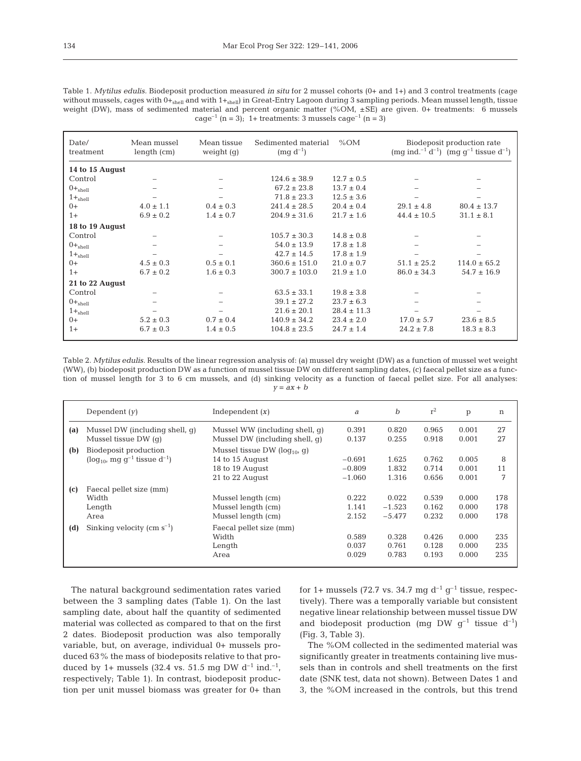| Table 1. Mytilus edulis. Biodeposit production measured in situ for 2 mussel cohorts (0+ and 1+) and 3 control treatments (cage                          |
|----------------------------------------------------------------------------------------------------------------------------------------------------------|
| without mussels, cages with $0+_{\text{shell}}$ and with $1+_{\text{shell}}$ in Great-Entry Lagoon during 3 sampling periods. Mean mussel length, tissue |
| weight (DW), mass of sedimented material and percent organic matter (%OM, $\pm$ SE) are given. 0+ treatments: 6 mussels                                  |
| cage <sup>-1</sup> (n = 3); 1+ treatments: 3 mussels cage <sup>-1</sup> (n = 3)                                                                          |

| Date/<br>treatment | Mean mussel<br>length (cm) | Mean tissue<br>weight $(q)$ | %OM<br>Sedimented material<br>$(mg d^{-1})$ |                 | Biodeposit production rate<br>$\text{(mg ind.}^{-1} d^{-1})$ $\text{(mg q}^{-1}$ tissue d <sup>-1</sup> ) |                          |
|--------------------|----------------------------|-----------------------------|---------------------------------------------|-----------------|-----------------------------------------------------------------------------------------------------------|--------------------------|
| 14 to 15 August    |                            |                             |                                             |                 |                                                                                                           |                          |
| Control            |                            |                             | $124.6 \pm 38.9$                            | $12.7 \pm 0.5$  |                                                                                                           |                          |
| $0+_{shell}$       | -                          |                             | $67.2 \pm 23.8$                             | $13.7 \pm 0.4$  | $\overline{\phantom{0}}$                                                                                  | $\overline{\phantom{a}}$ |
| $1 +_{shell}$      |                            |                             | $71.8 \pm 23.3$                             | $12.5 \pm 3.6$  |                                                                                                           |                          |
| $() +$             | $4.0 \pm 1.1$              | $0.4 \pm 0.3$               | $241.4 \pm 28.5$                            | $20.4 \pm 0.4$  | $29.1 \pm 4.8$                                                                                            | $80.4 \pm 13.7$          |
| $1+$               | $6.9 \pm 0.2$              | $1.4 \pm 0.7$               | $204.9 \pm 31.6$                            | $21.7 \pm 1.6$  | $44.4 \pm 10.5$                                                                                           | $31.1 \pm 8.1$           |
| 18 to 19 August    |                            |                             |                                             |                 |                                                                                                           |                          |
| Control            |                            |                             | $105.7 \pm 30.3$                            | $14.8 \pm 0.8$  |                                                                                                           |                          |
| $0+_{\rm shell}$   |                            |                             | $54.0 \pm 13.9$                             | $17.8 \pm 1.8$  |                                                                                                           |                          |
| $1 +_{shell}$      |                            |                             | $42.7 \pm 14.5$                             | $17.8 \pm 1.9$  |                                                                                                           |                          |
| $() +$             | $4.5 \pm 0.3$              | $0.5 \pm 0.1$               | $360.6 \pm 151.0$                           | $21.0 \pm 0.7$  | $51.1 \pm 25.2$                                                                                           | $114.0 \pm 65.2$         |
| $1+$               | $6.7 \pm 0.2$              | $1.6 \pm 0.3$               | $300.7 \pm 103.0$                           | $21.9 \pm 1.0$  | $86.0 \pm 34.3$                                                                                           | $54.7 \pm 16.9$          |
| 21 to 22 August    |                            |                             |                                             |                 |                                                                                                           |                          |
| Control            |                            |                             | $63.5 \pm 33.1$                             | $19.8 \pm 3.8$  |                                                                                                           |                          |
| $0 +_{shell}$      |                            |                             | $39.1 \pm 27.2$                             | $23.7 \pm 6.3$  |                                                                                                           |                          |
| $1 +_{shell}$      |                            |                             | $21.6 \pm 20.1$                             | $28.4 \pm 11.3$ |                                                                                                           |                          |
| $() +$             | $5.2 \pm 0.3$              | $0.7 \pm 0.4$               | $140.9 \pm 34.2$                            | $23.4 \pm 2.0$  | $17.0 \pm 5.7$                                                                                            | $23.6 \pm 8.5$           |
| $1+$               | $6.7 \pm 0.3$              | $1.4 \pm 0.5$               | $104.8 \pm 23.5$                            | $24.7 \pm 1.4$  | $24.2 \pm 7.8$                                                                                            | $18.3 \pm 8.3$           |
|                    |                            |                             |                                             |                 |                                                                                                           |                          |

Table 2. *Mytilus edulis.* Results of the linear regression analysis of: (a) mussel dry weight (DW) as a function of mussel wet weight (WW), (b) biodeposit production DW as a function of mussel tissue DW on different sampling dates, (c) faecal pellet size as a function of mussel length for 3 to 6 cm mussels, and (d) sinking velocity as a function of faecal pellet size. For all analyses: *y* = *ax* + *b*

|     | Dependent $(y)$                                                           | Independent $(x)$                                                                           | a                                | $\boldsymbol{b}$              | $r^2$                   | p                       | n                 |
|-----|---------------------------------------------------------------------------|---------------------------------------------------------------------------------------------|----------------------------------|-------------------------------|-------------------------|-------------------------|-------------------|
| (a) | Mussel DW (including shell, q)<br>Mussel tissue $DW$ (q)                  | Mussel WW (including shell, q)<br>Mussel DW (including shell, q)                            | 0.391<br>0.137                   | 0.820<br>0.255                | 0.965<br>0.918          | 0.001<br>0.001          | 27<br>27          |
| (b) | Biodeposit production<br>$(\log_{10} mq q^{-1})$ tissue d <sup>-1</sup> ) | Mussel tissue DW ( $log_{10}$ , q)<br>14 to 15 August<br>18 to 19 August<br>21 to 22 August | $-0.691$<br>$-0.809$<br>$-1.060$ | 1.625<br>1.832<br>1.316       | 0.762<br>0.714<br>0.656 | 0.005<br>0.001<br>0.001 | 8<br>11<br>7      |
| (c) | Faecal pellet size (mm)<br>Width<br>Length<br>Area                        | Mussel length (cm)<br>Mussel length (cm)<br>Mussel length (cm)                              | 0.222<br>1.141<br>2.152          | 0.022<br>$-1.523$<br>$-5.477$ | 0.539<br>0.162<br>0.232 | 0.000<br>0.000<br>0.000 | 178<br>178<br>178 |
| (d) | Sinking velocity $\rm (cm\;s^{-1})$                                       | Faecal pellet size (mm)<br>Width<br>Length<br>Area                                          | 0.589<br>0.037<br>0.029          | 0.328<br>0.761<br>0.783       | 0.426<br>0.128<br>0.193 | 0.000<br>0.000<br>0.000 | 235<br>235<br>235 |

The natural background sedimentation rates varied between the 3 sampling dates (Table 1). On the last sampling date, about half the quantity of sedimented material was collected as compared to that on the first 2 dates. Biodeposit production was also temporally variable, but, on average, individual 0+ mussels produced 63% the mass of biodeposits relative to that produced by 1+ mussels (32.4 vs. 51.5 mg DW  $d^{-1}$  ind.<sup>-1</sup>, respectively; Table 1). In contrast, biodeposit production per unit mussel biomass was greater for 0+ than

for 1+ mussels (72.7 vs. 34.7 mg  $d^{-1}$  g<sup>-1</sup> tissue, respectively). There was a temporally variable but consistent negative linear relationship between mussel tissue DW and biodeposit production (mg DW  $q^{-1}$  tissue  $d^{-1}$ ) (Fig. 3, Table 3).

The %OM collected in the sedimented material was significantly greater in treatments containing live mussels than in controls and shell treatments on the first date (SNK test, data not shown). Between Dates 1 and 3, the %OM increased in the controls, but this trend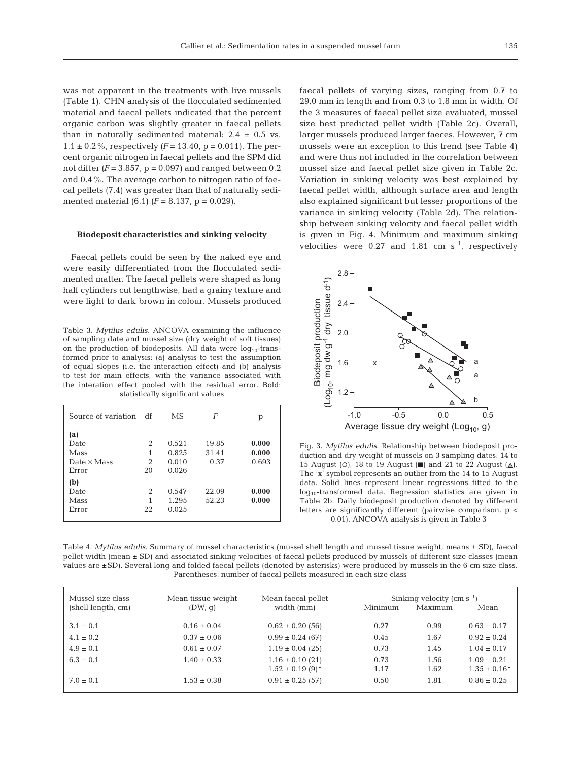was not apparent in the treatments with live mussels (Table 1). CHN analysis of the flocculated sedimented material and faecal pellets indicated that the percent organic carbon was slightly greater in faecal pellets than in naturally sedimented material:  $2.4 \pm 0.5$  vs.  $1.1 \pm 0.2\%$ , respectively  $(F = 13.40, p = 0.011)$ . The percent organic nitrogen in faecal pellets and the SPM did not differ  $(F = 3.857, p = 0.097)$  and ranged between 0.2 and 0.4%. The average carbon to nitrogen ratio of faecal pellets (7.4) was greater than that of naturally sedimented material  $(6.1)$   $(F = 8.137, p = 0.029)$ .

### **Biodeposit characteristics and sinking velocity**

Faecal pellets could be seen by the naked eye and were easily differentiated from the flocculated sedimented matter. The faecal pellets were shaped as long half cylinders cut lengthwise, had a grainy texture and were light to dark brown in colour. Mussels produced

Table 3. *Mytilus edulis.* ANCOVA examining the influence of sampling date and mussel size (dry weight of soft tissues) on the production of biodeposits. All data were  $log_{10}$ -transformed prior to analysis: (a) analysis to test the assumption of equal slopes (i.e. the interaction effect) and (b) analysis to test for main effects, with the variance associated with the interation effect pooled with the residual error. Bold: statistically significant values

| Source of variation | df | МS    | F     | р     |
|---------------------|----|-------|-------|-------|
| (a)                 |    |       |       |       |
| Date                | 2  | 0.521 | 19.85 | 0.000 |
| Mass                | 1  | 0.825 | 31.41 | 0.000 |
| Date $\times$ Mass  | 2  | 0.010 | 0.37  | 0.693 |
| Error               | 20 | 0.026 |       |       |
| (b)                 |    |       |       |       |
| Date                | 2  | 0.547 | 22.09 | 0.000 |
| Mass                | 1  | 1.295 | 52.23 | 0.000 |
| Error               | 22 | 0.025 |       |       |
|                     |    |       |       |       |

faecal pellets of varying sizes, ranging from 0.7 to 29.0 mm in length and from 0.3 to 1.8 mm in width. Of the 3 measures of faecal pellet size evaluated, mussel size best predicted pellet width (Table 2c). Overall, larger mussels produced larger faeces. However, 7 cm mussels were an exception to this trend (see Table 4) and were thus not included in the correlation between mussel size and faecal pellet size given in Table 2c. Variation in sinking velocity was best explained by faecal pellet width, although surface area and length also explained significant but lesser proportions of the variance in sinking velocity (Table 2d). The relationship between sinking velocity and faecal pellet width is given in Fig. 4. Minimum and maximum sinking velocities were  $0.27$  and  $1.81$  cm s<sup>-1</sup>, respectively



Fig. 3. *Mytilus edulis*. Relationship between biodeposit production and dry weight of mussels on 3 sampling dates: 14 to 15 August (O), 18 to 19 August ( $\blacksquare$ ) and 21 to 22 August ( $\triangle$ ). The 'x' symbol represents an outlier from the 14 to 15 August data. Solid lines represent linear regressions fitted to the log10-transformed data. Regression statistics are given in Table 2b. Daily biodeposit production denoted by different letters are significantly different (pairwise comparison, p < 0.01). ANCOVA analysis is given in Table 3

Table 4. *Mytilus edulis.* Summary of mussel characteristics (mussel shell length and mussel tissue weight, means ± SD), faecal pellet width (mean ± SD) and associated sinking velocities of faecal pellets produced by mussels of different size classes (mean values are ±SD). Several long and folded faecal pellets (denoted by asterisks) were produced by mussels in the 6 cm size class. Parentheses: number of faecal pellets measured in each size class

| Mussel size class  | Mean tissue weight | Mean faecal pellet               | Sinking velocity (cm $s^{-1}$ ) |         |                   |  |
|--------------------|--------------------|----------------------------------|---------------------------------|---------|-------------------|--|
| (shell length, cm) | (DW, q)            | width (mm)                       | Minimum                         | Maximum | Mean              |  |
| $3.1 \pm 0.1$      | $0.16 \pm 0.04$    | $0.62 \pm 0.20$ (56)             | 0.27                            | 0.99    | $0.63 \pm 0.17$   |  |
| $4.1 \pm 0.2$      | $0.37 \pm 0.06$    | $0.99 \pm 0.24$ (67)             | 0.45                            | 1.67    | $0.92 \pm 0.24$   |  |
| $4.9 \pm 0.1$      | $0.61 \pm 0.07$    | $1.19 \pm 0.04$ (25)             | 0.73                            | 1.45    | $1.04 \pm 0.17$   |  |
| $6.3 \pm 0.1$      | $1.40 \pm 0.33$    | $1.16 \pm 0.10$ (21)             | 0.73                            | 1.56    | $1.09 \pm 0.21$   |  |
|                    |                    | $1.52 \pm 0.19$ (9) <sup>*</sup> | 1.17                            | 1.62    | $1.35 \pm 0.16^*$ |  |
| $7.0 \pm 0.1$      | $1.53 \pm 0.38$    | $0.91 \pm 0.25$ (57)             | 0.50                            | 1.81    | $0.86 \pm 0.25$   |  |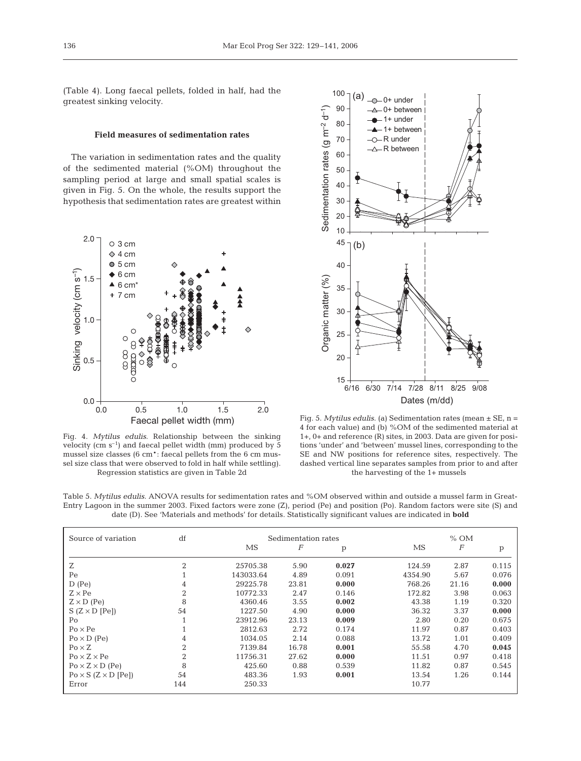(Table 4). Long faecal pellets, folded in half, had the greatest sinking velocity.

## **Field measures of sedimentation rates**

The variation in sedimentation rates and the quality of the sedimented material (%OM) throughout the sampling period at large and small spatial scales is given in Fig. 5. On the whole, the results support the hypothesis that sedimentation rates are greatest within



Fig. 4. *Mytilus edulis*. Relationship between the sinking velocity (cm  $s^{-1}$ ) and faecal pellet width (mm) produced by 5 mussel size classes (6 cm\*: faecal pellets from the 6 cm mussel size class that were observed to fold in half while settling). Regression statistics are given in Table 2d



Fig. 5. *Mytilus edulis*. (a) Sedimentation rates (mean ± SE, n = 4 for each value) and (b) %OM of the sedimented material at 1+, 0+ and reference (R) sites, in 2003. Data are given for positions 'under' and 'between' mussel lines, corresponding to the SE and NW positions for reference sites, respectively. The dashed vertical line separates samples from prior to and after the harvesting of the 1+ mussels

Table 5. *Mytilus edulis.* ANOVA results for sedimentation rates and %OM observed within and outside a mussel farm in Great-Entry Lagoon in the summer 2003. Fixed factors were zone (Z), period (Pe) and position (Po). Random factors were site (S) and date (D). See 'Materials and methods' for details. Statistically significant values are indicated in **bold**

| Source of variation                | df             | Sedimentation rates |       |       |         | $%$ OM           |       |
|------------------------------------|----------------|---------------------|-------|-------|---------|------------------|-------|
|                                    |                | MS                  | F     | p     | MS      | $\boldsymbol{F}$ | p     |
| Ζ                                  | 2              | 25705.38            | 5.90  | 0.027 | 124.59  | 2.87             | 0.115 |
| Pe                                 |                | 143033.64           | 4.89  | 0.091 | 4354.90 | 5.67             | 0.076 |
| $D$ (Pe)                           | 4              | 29225.78            | 23.81 | 0.000 | 768.26  | 21.16            | 0.000 |
| $Z \times Pe$                      | 2              | 10772.33            | 2.47  | 0.146 | 172.82  | 3.98             | 0.063 |
| $Z \times D$ (Pe)                  | 8              | 4360.46             | 3.55  | 0.002 | 43.38   | 1.19             | 0.320 |
| $S(Z \times D[Pe])$                | 54             | 1227.50             | 4.90  | 0.000 | 36.32   | 3.37             | 0.000 |
| Po                                 |                | 23912.96            | 23.13 | 0.009 | 2.80    | 0.20             | 0.675 |
| $Po \times Pe$                     |                | 2812.63             | 2.72  | 0.174 | 11.97   | 0.87             | 0.403 |
| $Po \times D$ (Pe)                 | 4              | 1034.05             | 2.14  | 0.088 | 13.72   | 1.01             | 0.409 |
| $Po \times Z$                      | $\overline{2}$ | 7139.84             | 16.78 | 0.001 | 55.58   | 4.70             | 0.045 |
| $Po \times Z \times Pe$            | $\overline{2}$ | 11756.31            | 27.62 | 0.000 | 11.51   | 0.97             | 0.418 |
| $Po \times Z \times D$ (Pe)        | 8              | 425.60              | 0.88  | 0.539 | 11.82   | 0.87             | 0.545 |
| $Po \times S$ ( $Z \times D$ [Pe]) | 54             | 483.36              | 1.93  | 0.001 | 13.54   | 1.26             | 0.144 |
| Error                              | 144            | 250.33              |       |       | 10.77   |                  |       |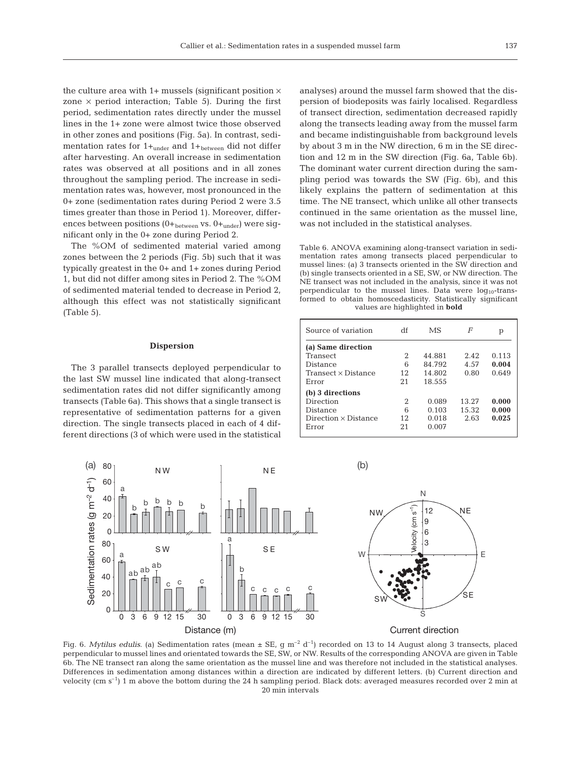the culture area with  $1+$  mussels (significant position  $\times$ zone  $\times$  period interaction; Table 5). During the first period, sedimentation rates directly under the mussel lines in the 1+ zone were almost twice those observed in other zones and positions (Fig. 5a). In contrast, sedimentation rates for  $1+_{under}$  and  $1+_{between}$  did not differ after harvesting. An overall increase in sedimentation rates was observed at all positions and in all zones throughout the sampling period. The increase in sedimentation rates was, however, most pronounced in the 0+ zone (sedimentation rates during Period 2 were 3.5 times greater than those in Period 1). Moreover, differences between positions  $(0+_{between}$  vs.  $0+_{under}$ ) were significant only in the 0+ zone during Period 2.

The %OM of sedimented material varied among zones between the 2 periods (Fig. 5b) such that it was typically greatest in the 0+ and 1+ zones during Period 1, but did not differ among sites in Period 2. The %OM of sedimented material tended to decrease in Period 2, although this effect was not statistically significant (Table 5).

## **Dispersion**

The 3 parallel transects deployed perpendicular to the last SW mussel line indicated that along-transect sedimentation rates did not differ significantly among transects (Table 6a). This shows that a single transect is representative of sedimentation patterns for a given direction. The single transects placed in each of 4 different directions (3 of which were used in the statistical

analyses) around the mussel farm showed that the dispersion of biodeposits was fairly localised. Regardless of transect direction, sedimentation decreased rapidly along the transects leading away from the mussel farm and became indistinguishable from background levels by about 3 m in the NW direction, 6 m in the SE direction and 12 m in the SW direction (Fig. 6a, Table 6b). The dominant water current direction during the sampling period was towards the SW (Fig. 6b), and this likely explains the pattern of sedimentation at this time. The NE transect, which unlike all other transects continued in the same orientation as the mussel line, was not included in the statistical analyses.

Table 6. ANOVA examining along-transect variation in sedimentation rates among transects placed perpendicular to mussel lines: (a) 3 transects oriented in the SW direction and (b) single transects oriented in a SE, SW, or NW direction. The NE transect was not included in the analysis, since it was not perpendicular to the mussel lines. Data were  $log_{10}$ -transformed to obtain homoscedasticity. Statistically significant values are highlighted in **bold**

| df  | MS     | F     | р     |
|-----|--------|-------|-------|
|     |        |       |       |
| 2   | 44.881 | 2.42  | 0.113 |
| 6   | 84.792 | 4.57  | 0.004 |
| 12  | 14.802 | 0.80  | 0.649 |
| 2.1 | 18.555 |       |       |
|     |        |       |       |
| 2   | 0.089  | 13.27 | 0.000 |
| 6   | 0.103  | 15.32 | 0.000 |
| 12  | 0.018  | 2.63  | 0.025 |
| 21  | 0.007  |       |       |
|     |        |       |       |



Fig. 6. *Mytilus edulis*. (a) Sedimentation rates (mean  $\pm$  SE, g m<sup>-2</sup> d<sup>-1</sup>) recorded on 13 to 14 August along 3 transects, placed perpendicular to mussel lines and orientated towards the SE, SW, or NW. Results of the corresponding ANOVA are given in Table 6b. The NE transect ran along the same orientation as the mussel line and was therefore not included in the statistical analyses. Differences in sedimentation among distances within a direction are indicated by different letters. (b) Current direction and velocity (cm  $s^{-1}$ ) 1 m above the bottom during the 24 h sampling period. Black dots: averaged measures recorded over 2 min at 20 min intervals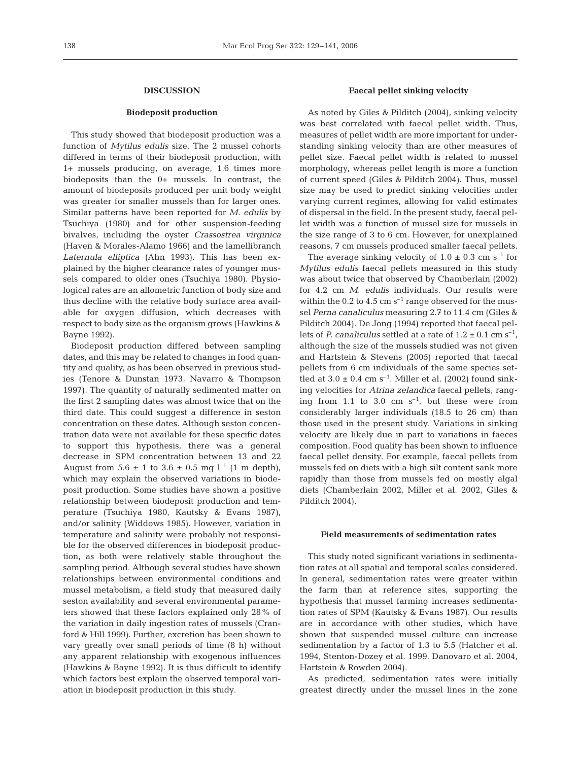## **DISCUSSION**

# **Biodeposit production**

This study showed that biodeposit production was a function of *Mytilus edulis* size. The 2 mussel cohorts differed in terms of their biodeposit production, with 1+ mussels producing, on average, 1.6 times more biodeposits than the 0+ mussels. In contrast, the amount of biodeposits produced per unit body weight was greater for smaller mussels than for larger ones. Similar patterns have been reported for *M. edulis* by Tsuchiya (1980) and for other suspension-feeding bivalves, including the oyster *Crassostrea virginica* (Haven & Morales-Alamo 1966) and the lamellibranch *Laternula elliptica* (Ahn 1993). This has been explained by the higher clearance rates of younger mussels compared to older ones (Tsuchiya 1980). Physiological rates are an allometric function of body size and thus decline with the relative body surface area available for oxygen diffusion, which decreases with respect to body size as the organism grows (Hawkins & Bayne 1992).

Biodeposit production differed between sampling dates, and this may be related to changes in food quantity and quality, as has been observed in previous studies (Tenore & Dunstan 1973, Navarro & Thompson 1997). The quantity of naturally sedimented matter on the first 2 sampling dates was almost twice that on the third date. This could suggest a difference in seston concentration on these dates. Although seston concentration data were not available for these specific dates to support this hypothesis, there was a general decrease in SPM concentration between 13 and 22 August from  $5.6 \pm 1$  to  $3.6 \pm 0.5$  mg l<sup>-1</sup> (1 m depth), which may explain the observed variations in biodeposit production. Some studies have shown a positive relationship between biodeposit production and temperature (Tsuchiya 1980, Kautsky & Evans 1987), and/or salinity (Widdows 1985). However, variation in temperature and salinity were probably not responsible for the observed differences in biodeposit production, as both were relatively stable throughout the sampling period. Although several studies have shown relationships between environmental conditions and mussel metabolism, a field study that measured daily seston availability and several environmental parameters showed that these factors explained only 28% of the variation in daily ingestion rates of mussels (Cranford & Hill 1999). Further, excretion has been shown to vary greatly over small periods of time (8 h) without any apparent relationship with exogenous influences (Hawkins & Bayne 1992). It is thus difficult to identify which factors best explain the observed temporal variation in biodeposit production in this study.

## **Faecal pellet sinking velocity**

As noted by Giles & Pilditch (2004), sinking velocity was best correlated with faecal pellet width. Thus, measures of pellet width are more important for understanding sinking velocity than are other measures of pellet size. Faecal pellet width is related to mussel morphology, whereas pellet length is more a function of current speed (Giles & Pilditch 2004). Thus, mussel size may be used to predict sinking velocities under varying current regimes, allowing for valid estimates of dispersal in the field. In the present study, faecal pellet width was a function of mussel size for mussels in the size range of 3 to 6 cm. However, for unexplained reasons, 7 cm mussels produced smaller faecal pellets.

The average sinking velocity of  $1.0 \pm 0.3$  cm s<sup>-1</sup> for *Mytilus edulis* faecal pellets measured in this study was about twice that observed by Chamberlain (2002) for 4.2 cm *M. edulis* individuals. Our results were within the  $0.2$  to  $4.5$  cm s<sup>-1</sup> range observed for the mussel *Perna canaliculus* measuring 2.7 to 11.4 cm (Giles & Pilditch 2004). De Jong (1994) reported that faecal pellets of *P. canaliculus* settled at a rate of  $1.2 \pm 0.1$  cm s<sup>-1</sup>, although the size of the mussels studied was not given and Hartstein & Stevens (2005) reported that faecal pellets from 6 cm individuals of the same species settled at  $3.0 \pm 0.4$  cm s<sup>-1</sup>. Miller et al. (2002) found sinking velocities for *Atrina zelandica* faecal pellets, ranging from 1.1 to 3.0 cm  $s^{-1}$ , but these were from considerably larger individuals (18.5 to 26 cm) than those used in the present study. Variations in sinking velocity are likely due in part to variations in faeces composition. Food quality has been shown to influence faecal pellet density. For example, faecal pellets from mussels fed on diets with a high silt content sank more rapidly than those from mussels fed on mostly algal diets (Chamberlain 2002, Miller et al. 2002, Giles & Pilditch 2004).

### **Field measurements of sedimentation rates**

This study noted significant variations in sedimentation rates at all spatial and temporal scales considered. In general, sedimentation rates were greater within the farm than at reference sites, supporting the hypothesis that mussel farming increases sedimentation rates of SPM (Kautsky & Evans 1987). Our results are in accordance with other studies, which have shown that suspended mussel culture can increase sedimentation by a factor of 1.3 to 5.5 (Hatcher et al. 1994, Stenton-Dozey et al. 1999, Danovaro et al. 2004, Hartstein & Rowden 2004).

As predicted, sedimentation rates were initially greatest directly under the mussel lines in the zone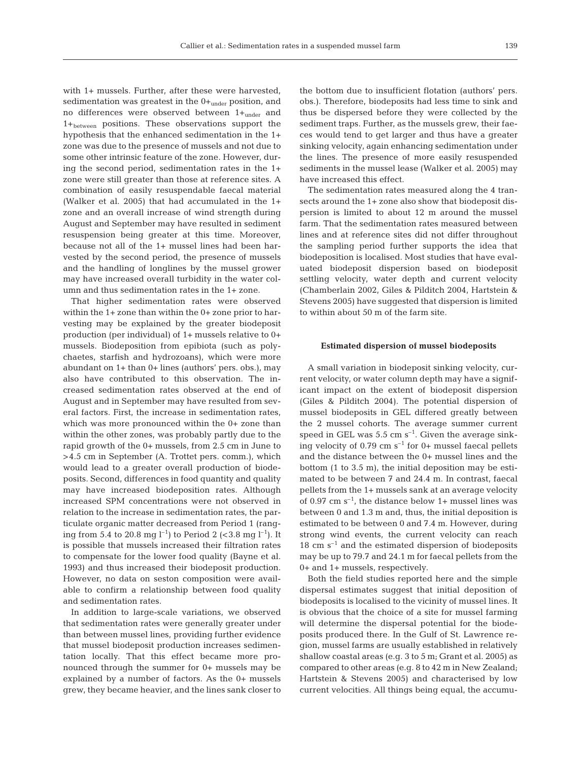with 1+ mussels. Further, after these were harvested, sedimentation was greatest in the  $0+_{under}$  position, and no differences were observed between  $1+_{under}$  and  $1+$ <sub>between</sub> positions. These observations support the hypothesis that the enhanced sedimentation in the 1+ zone was due to the presence of mussels and not due to some other intrinsic feature of the zone. However, during the second period, sedimentation rates in the 1+ zone were still greater than those at reference sites. A combination of easily resuspendable faecal material (Walker et al. 2005) that had accumulated in the 1+ zone and an overall increase of wind strength during August and September may have resulted in sediment resuspension being greater at this time. Moreover, because not all of the 1+ mussel lines had been harvested by the second period, the presence of mussels

and the handling of longlines by the mussel grower may have increased overall turbidity in the water col-

umn and thus sedimentation rates in the 1+ zone. That higher sedimentation rates were observed within the 1+ zone than within the 0+ zone prior to harvesting may be explained by the greater biodeposit production (per individual) of 1+ mussels relative to 0+ mussels. Biodeposition from epibiota (such as polychaetes, starfish and hydrozoans), which were more abundant on 1+ than 0+ lines (authors' pers. obs.), may also have contributed to this observation. The increased sedimentation rates observed at the end of August and in September may have resulted from several factors. First, the increase in sedimentation rates, which was more pronounced within the 0+ zone than within the other zones, was probably partly due to the rapid growth of the 0+ mussels, from 2.5 cm in June to >4.5 cm in September (A. Trottet pers. comm.), which would lead to a greater overall production of biodeposits. Second, differences in food quantity and quality may have increased biodeposition rates. Although increased SPM concentrations were not observed in relation to the increase in sedimentation rates, the particulate organic matter decreased from Period 1 (ranging from 5.4 to 20.8 mg  $l^{-1}$ ) to Period 2 (<3.8 mg  $l^{-1}$ ). It is possible that mussels increased their filtration rates to compensate for the lower food quality (Bayne et al. 1993) and thus increased their biodeposit production. However, no data on seston composition were available to confirm a relationship between food quality and sedimentation rates.

In addition to large-scale variations, we observed that sedimentation rates were generally greater under than between mussel lines, providing further evidence that mussel biodeposit production increases sedimentation locally. That this effect became more pronounced through the summer for 0+ mussels may be explained by a number of factors. As the 0+ mussels grew, they became heavier, and the lines sank closer to the bottom due to insufficient flotation (authors' pers. obs.). Therefore, biodeposits had less time to sink and thus be dispersed before they were collected by the sediment traps. Further, as the mussels grew, their faeces would tend to get larger and thus have a greater sinking velocity, again enhancing sedimentation under the lines. The presence of more easily resuspended sediments in the mussel lease (Walker et al. 2005) may have increased this effect.

The sedimentation rates measured along the 4 transects around the 1+ zone also show that biodeposit dispersion is limited to about 12 m around the mussel farm. That the sedimentation rates measured between lines and at reference sites did not differ throughout the sampling period further supports the idea that biodeposition is localised. Most studies that have evaluated biodeposit dispersion based on biodeposit settling velocity, water depth and current velocity (Chamberlain 2002, Giles & Pilditch 2004, Hartstein & Stevens 2005) have suggested that dispersion is limited to within about 50 m of the farm site.

## **Estimated dispersion of mussel biodeposits**

A small variation in biodeposit sinking velocity, current velocity, or water column depth may have a significant impact on the extent of biodeposit dispersion (Giles & Pilditch 2004). The potential dispersion of mussel biodeposits in GEL differed greatly between the 2 mussel cohorts. The average summer current speed in GEL was  $5.5 \text{ cm s}^{-1}$ . Given the average sinking velocity of  $0.79 \text{ cm s}^{-1}$  for  $0+$  mussel faecal pellets and the distance between the 0+ mussel lines and the bottom (1 to 3.5 m), the initial deposition may be estimated to be between 7 and 24.4 m. In contrast, faecal pellets from the 1+ mussels sank at an average velocity of 0.97 cm  $s^{-1}$ , the distance below 1+ mussel lines was between 0 and 1.3 m and, thus, the initial deposition is estimated to be between 0 and 7.4 m. However, during strong wind events, the current velocity can reach  $18 \text{ cm s}^{-1}$  and the estimated dispersion of biodeposits may be up to 79.7 and 24.1 m for faecal pellets from the 0+ and 1+ mussels, respectively.

Both the field studies reported here and the simple dispersal estimates suggest that initial deposition of biodeposits is localised to the vicinity of mussel lines. It is obvious that the choice of a site for mussel farming will determine the dispersal potential for the biodeposits produced there. In the Gulf of St. Lawrence region, mussel farms are usually established in relatively shallow coastal areas (e.g. 3 to 5 m; Grant et al. 2005) as compared to other areas (e.g. 8 to 42 m in New Zealand; Hartstein & Stevens 2005) and characterised by low current velocities. All things being equal, the accumu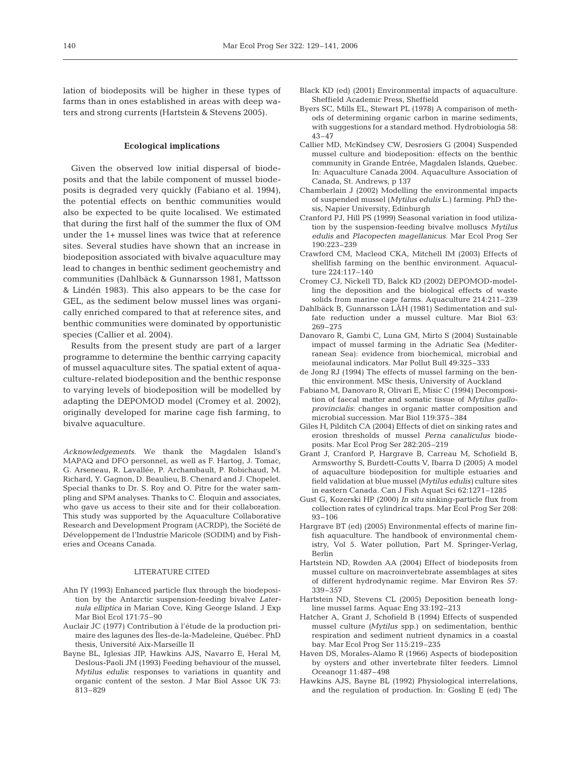lation of biodeposits will be higher in these types of farms than in ones established in areas with deep waters and strong currents (Hartstein & Stevens 2005).

### **Ecological implications**

Given the observed low initial dispersal of biodeposits and that the labile component of mussel biodeposits is degraded very quickly (Fabiano et al. 1994), the potential effects on benthic communities would also be expected to be quite localised. We estimated that during the first half of the summer the flux of OM under the 1+ mussel lines was twice that at reference sites. Several studies have shown that an increase in biodeposition associated with bivalve aquaculture may lead to changes in benthic sediment geochemistry and communities (Dahlbäck & Gunnarsson 1981, Mattsson & Lindén 1983). This also appears to be the case for GEL, as the sediment below mussel lines was organically enriched compared to that at reference sites, and benthic communities were dominated by opportunistic species (Callier et al. 2004).

Results from the present study are part of a larger programme to determine the benthic carrying capacity of mussel aquaculture sites. The spatial extent of aquaculture-related biodeposition and the benthic response to varying levels of biodeposition will be modelled by adapting the DEPOMOD model (Cromey et al. 2002), originally developed for marine cage fish farming, to bivalve aquaculture.

*Acknowledgements.* We thank the Magdalen Island's MAPAQ and DFO personnel, as well as F. Hartog, J. Tomac, G. Arseneau, R. Lavallée, P. Archambault, P. Robichaud, M. Richard, Y. Gagnon, D. Beaulieu, B. Chenard and J. Chopelet. Special thanks to Dr. S. Roy and O. Pitre for the water sampling and SPM analyses. Thanks to C. Éloquin and associates, who gave us access to their site and for their collaboration. This study was supported by the Aquaculture Collaborative Research and Development Program (ACRDP), the Société de Développement de l'Industrie Maricole (SODIM) and by Fisheries and Oceans Canada.

#### LITERATURE CITED

- Ahn IY (1993) Enhanced particle flux through the biodeposition by the Antarctic suspension-feeding bivalve *Laternula elliptica* in Marian Cove, King George Island. J Exp Mar Biol Ecol 171:75–90
- Auclair JC (1977) Contribution à l'étude de la production primaire des lagunes des Îles-de-la-Madeleine, Québec. PhD thesis, Université Aix-Marseille II
- Bayne BL, Iglesias JIP, Hawkins AJS, Navarro E, Heral M, Deslous-Paoli JM (1993) Feeding behaviour of the mussel, *Mytilus edulis*: responses to variations in quantity and organic content of the seston. J Mar Biol Assoc UK 73: 813–829
- Black KD (ed) (2001) Environmental impacts of aquaculture. Sheffield Academic Press, Sheffield
- Byers SC, Mills EL, Stewart PL (1978) A comparison of methods of determining organic carbon in marine sediments, with suggestions for a standard method. Hydrobiologia 58: 43–47
- Callier MD, McKindsey CW, Desrosiers G (2004) Suspended mussel culture and biodeposition: effects on the benthic community in Grande Entrée, Magdalen Islands, Quebec. In: Aquaculture Canada 2004. Aquaculture Association of Canada, St. Andrews, p 137
- Chamberlain J (2002) Modelling the environmental impacts of suspended mussel (*Mytilus edulis* L.) farming. PhD thesis, Napier University, Edinburgh
- Cranford PJ, Hill PS (1999) Seasonal variation in food utilization by the suspension-feeding bivalve molluscs *Mytilus edulis* and *Placopecten magellanicus*. Mar Ecol Prog Ser 190:223–239
- Crawford CM, Macleod CKA, Mitchell IM (2003) Effects of shellfish farming on the benthic environment. Aquaculture 224:117–140
- Cromey CJ, Nickell TD, Balck KD (2002) DEPOMOD-modelling the deposition and the biological effects of waste solids from marine cage farms. Aquaculture 214:211–239
- Dahlbäck B, Gunnarsson LÅH (1981) Sedimentation and sulfate reduction under a mussel culture. Mar Biol 63: 269–275
- Danovaro R, Gambi C, Luna GM, Mirto S (2004) Sustainable impact of mussel farming in the Adriatic Sea (Mediterranean Sea): evidence from biochemical, microbial and meiofaunal indicators. Mar Pollut Bull 49:325–333
- de Jong RJ (1994) The effects of mussel farming on the benthic environment. MSc thesis, University of Auckland
- Fabiano M, Danovaro R, Olivari E, Misic C (1994) Decomposition of faecal matter and somatic tissue of *Mytilus galloprovincialis*: changes in organic matter composition and microbial succession. Mar Biol 119:375–384
- Giles H, Pilditch CA (2004) Effects of diet on sinking rates and erosion thresholds of mussel *Perna canaliculus* biodeposits. Mar Ecol Prog Ser 282:205–219
- Grant J, Cranford P, Hargrave B, Carreau M, Schofield B, Armsworthy S, Burdett-Coutts V, Ibarra D (2005) A model of aquaculture biodeposition for multiple estuaries and field validation at blue mussel *(Mytilus edulis)* culture sites in eastern Canada. Can J Fish Aquat Sci 62:1271–1285
- Gust G, Kozerski HP (2000) *In situ* sinking-particle flux from collection rates of cylindrical traps. Mar Ecol Prog Ser 208: 93–106
- Hargrave BT (ed) (2005) Environmental effects of marine finfish aquaculture. The handbook of environmental chemistry, Vol 5. Water pollution, Part M. Springer-Verlag, Berlin
- Hartstein ND, Rowden AA (2004) Effect of biodeposits from mussel culture on macroinvertebrate assemblages at sites of different hydrodynamic regime. Mar Environ Res 57: 339–357
- Hartstein ND, Stevens CL (2005) Deposition beneath longline mussel farms. Aquac Eng 33:192–213
- Hatcher A, Grant J, Schofield B (1994) Effects of suspended mussel culture *(Mytilus* spp.) on sedimentation, benthic respiration and sediment nutrient dynamics in a coastal bay. Mar Ecol Prog Ser 115:219–235
- Haven DS, Morales-Alamo R (1966) Aspects of biodeposition by oysters and other invertebrate filter feeders. Limnol Oceanogr 11:487–498
- Hawkins AJS, Bayne BL (1992) Physiological interrelations, and the regulation of production. In: Gosling E (ed) The